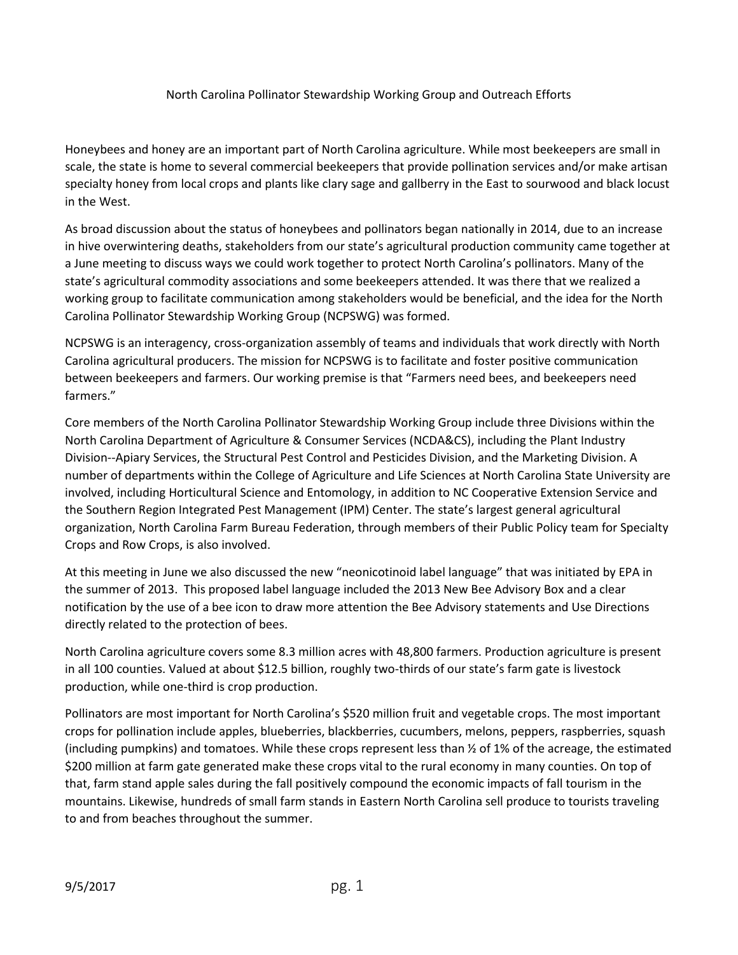#### North Carolina Pollinator Stewardship Working Group and Outreach Efforts

Honeybees and honey are an important part of North Carolina agriculture. While most beekeepers are small in scale, the state is home to several commercial beekeepers that provide pollination services and/or make artisan specialty honey from local crops and plants like clary sage and gallberry in the East to sourwood and black locust in the West.

As broad discussion about the status of honeybees and pollinators began nationally in 2014, due to an increase in hive overwintering deaths, stakeholders from our state's agricultural production community came together at a June meeting to discuss ways we could work together to protect North Carolina's pollinators. Many of the state's agricultural commodity associations and some beekeepers attended. It was there that we realized a working group to facilitate communication among stakeholders would be beneficial, and the idea for the North Carolina Pollinator Stewardship Working Group (NCPSWG) was formed.

NCPSWG is an interagency, cross-organization assembly of teams and individuals that work directly with North Carolina agricultural producers. The mission for NCPSWG is to facilitate and foster positive communication between beekeepers and farmers. Our working premise is that "Farmers need bees, and beekeepers need farmers."

Core members of the North Carolina Pollinator Stewardship Working Group include three Divisions within the North Carolina Department of Agriculture & Consumer Services (NCDA&CS), including the Plant Industry Division--Apiary Services, the Structural Pest Control and Pesticides Division, and the Marketing Division. A number of departments within the College of Agriculture and Life Sciences at North Carolina State University are involved, including Horticultural Science and Entomology, in addition to NC Cooperative Extension Service and the Southern Region Integrated Pest Management (IPM) Center. The state's largest general agricultural organization, North Carolina Farm Bureau Federation, through members of their Public Policy team for Specialty Crops and Row Crops, is also involved.

At this meeting in June we also discussed the new "neonicotinoid label language" that was initiated by EPA in the summer of 2013. This proposed label language included the 2013 New Bee Advisory Box and a clear notification by the use of a bee icon to draw more attention the Bee Advisory statements and Use Directions directly related to the protection of bees.

North Carolina agriculture covers some 8.3 million acres with 48,800 farmers. Production agriculture is present in all 100 counties. Valued at about \$12.5 billion, roughly two-thirds of our state's farm gate is livestock production, while one-third is crop production.

Pollinators are most important for North Carolina's \$520 million fruit and vegetable crops. The most important crops for pollination include apples, blueberries, blackberries, cucumbers, melons, peppers, raspberries, squash (including pumpkins) and tomatoes. While these crops represent less than ½ of 1% of the acreage, the estimated \$200 million at farm gate generated make these crops vital to the rural economy in many counties. On top of that, farm stand apple sales during the fall positively compound the economic impacts of fall tourism in the mountains. Likewise, hundreds of small farm stands in Eastern North Carolina sell produce to tourists traveling to and from beaches throughout the summer.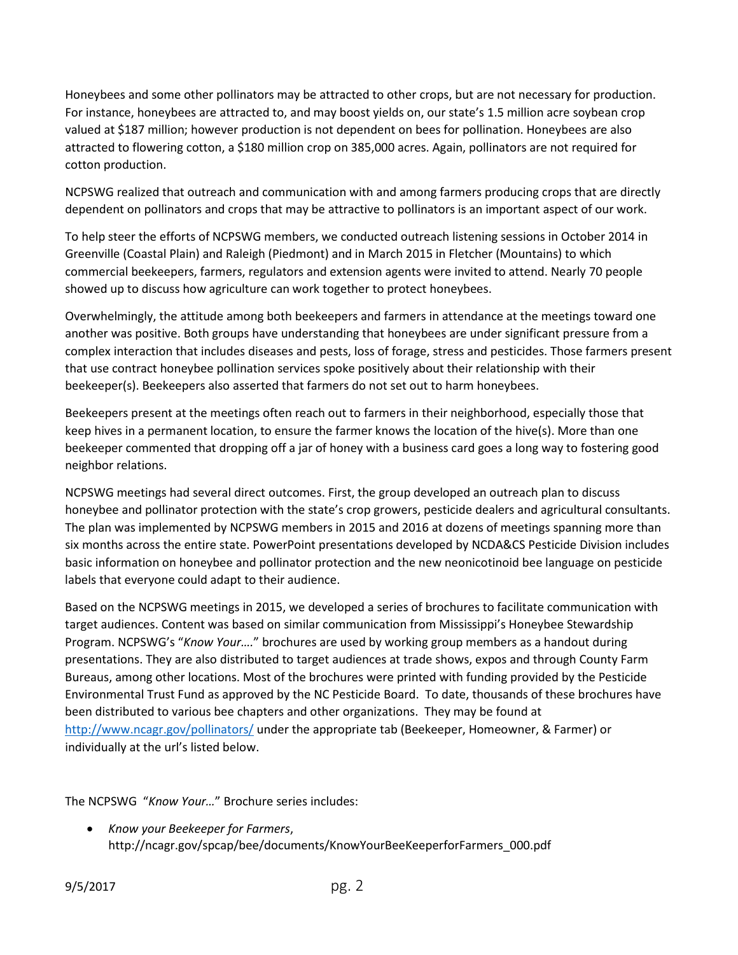Honeybees and some other pollinators may be attracted to other crops, but are not necessary for production. For instance, honeybees are attracted to, and may boost yields on, our state's 1.5 million acre soybean crop valued at \$187 million; however production is not dependent on bees for pollination. Honeybees are also attracted to flowering cotton, a \$180 million crop on 385,000 acres. Again, pollinators are not required for cotton production.

NCPSWG realized that outreach and communication with and among farmers producing crops that are directly dependent on pollinators and crops that may be attractive to pollinators is an important aspect of our work.

To help steer the efforts of NCPSWG members, we conducted outreach listening sessions in October 2014 in Greenville (Coastal Plain) and Raleigh (Piedmont) and in March 2015 in Fletcher (Mountains) to which commercial beekeepers, farmers, regulators and extension agents were invited to attend. Nearly 70 people showed up to discuss how agriculture can work together to protect honeybees.

Overwhelmingly, the attitude among both beekeepers and farmers in attendance at the meetings toward one another was positive. Both groups have understanding that honeybees are under significant pressure from a complex interaction that includes diseases and pests, loss of forage, stress and pesticides. Those farmers present that use contract honeybee pollination services spoke positively about their relationship with their beekeeper(s). Beekeepers also asserted that farmers do not set out to harm honeybees.

Beekeepers present at the meetings often reach out to farmers in their neighborhood, especially those that keep hives in a permanent location, to ensure the farmer knows the location of the hive(s). More than one beekeeper commented that dropping off a jar of honey with a business card goes a long way to fostering good neighbor relations.

NCPSWG meetings had several direct outcomes. First, the group developed an outreach plan to discuss honeybee and pollinator protection with the state's crop growers, pesticide dealers and agricultural consultants. The plan was implemented by NCPSWG members in 2015 and 2016 at dozens of meetings spanning more than six months across the entire state. PowerPoint presentations developed by NCDA&CS Pesticide Division includes basic information on honeybee and pollinator protection and the new neonicotinoid bee language on pesticide labels that everyone could adapt to their audience.

Based on the NCPSWG meetings in 2015, we developed a series of brochures to facilitate communication with target audiences. Content was based on similar communication from Mississippi's Honeybee Stewardship Program. NCPSWG's "*Know Your….*" brochures are used by working group members as a handout during presentations. They are also distributed to target audiences at trade shows, expos and through County Farm Bureaus, among other locations. Most of the brochures were printed with funding provided by the Pesticide Environmental Trust Fund as approved by the NC Pesticide Board. To date, thousands of these brochures have been distributed to various bee chapters and other organizations. They may be found at <http://www.ncagr.gov/pollinators/> under the appropriate tab (Beekeeper, Homeowner, & Farmer) or individually at the url's listed below.

The NCPSWG "*Know Your…*" Brochure series includes:

• *Know your Beekeeper for Farmers*, http://ncagr.gov/spcap/bee/documents/KnowYourBeeKeeperforFarmers\_000.pdf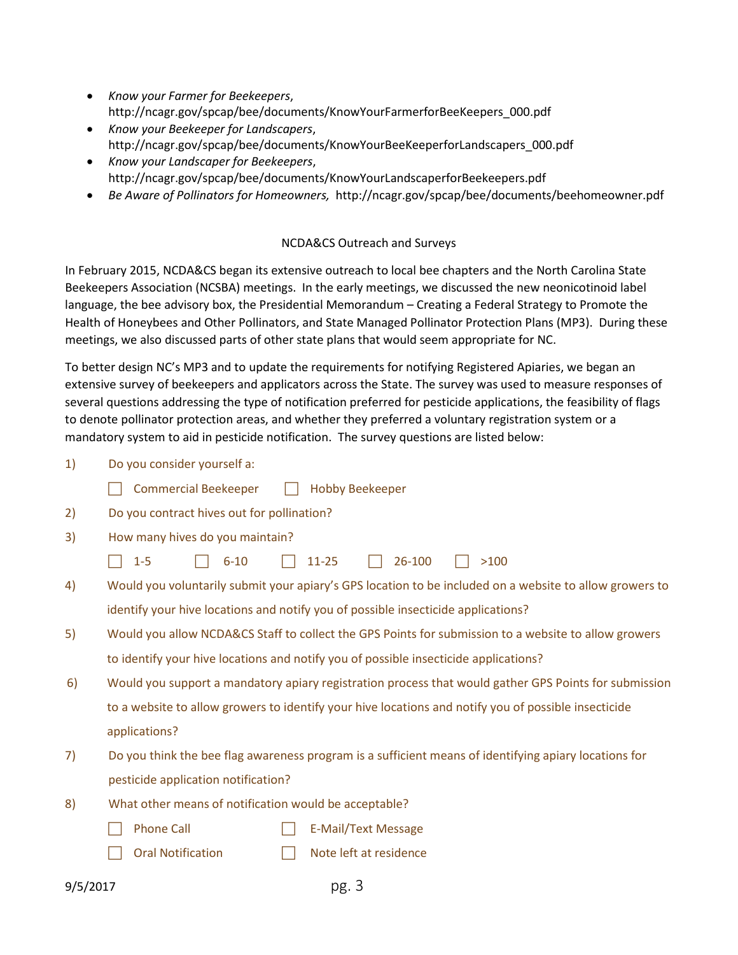- *Know your Farmer for Beekeepers*, http://ncagr.gov/spcap/bee/documents/KnowYourFarmerforBeeKeepers\_000.pdf
- *Know your Beekeeper for Landscapers*, http://ncagr.gov/spcap/bee/documents/KnowYourBeeKeeperforLandscapers\_000.pdf
- *Know your Landscaper for Beekeepers*, http://ncagr.gov/spcap/bee/documents/KnowYourLandscaperforBeekeepers.pdf
- *Be Aware of Pollinators for Homeowners,* http://ncagr.gov/spcap/bee/documents/beehomeowner.pdf

#### NCDA&CS Outreach and Surveys

In February 2015, NCDA&CS began its extensive outreach to local bee chapters and the North Carolina State Beekeepers Association (NCSBA) meetings. In the early meetings, we discussed the new neonicotinoid label language, the bee advisory box, the Presidential Memorandum – Creating a Federal Strategy to Promote the Health of Honeybees and Other Pollinators, and State Managed Pollinator Protection Plans (MP3). During these meetings, we also discussed parts of other state plans that would seem appropriate for NC.

To better design NC's MP3 and to update the requirements for notifying Registered Apiaries, we began an extensive survey of beekeepers and applicators across the State. The survey was used to measure responses of several questions addressing the type of notification preferred for pesticide applications, the feasibility of flags to denote pollinator protection areas, and whether they preferred a voluntary registration system or a mandatory system to aid in pesticide notification. The survey questions are listed below:

- 1) Do you consider yourself a:
	- ◯ Commercial Beekeeper ◯ Hobby Beekeeper
- 2) Do you contract hives out for pollination?
- 3) How many hives do you maintain?
	- $\Box$  1-5  $\Box$  6-10  $\Box$  11-25  $\Box$  26-100  $\Box$  >100
- 4) Would you voluntarily submit your apiary's GPS location to be included on a website to allow growers to identify your hive locations and notify you of possible insecticide applications?
- 5) Would you allow NCDA&CS Staff to collect the GPS Points for submission to a website to allow growers to identify your hive locations and notify you of possible insecticide applications?
- 6) Would you support a mandatory apiary registration process that would gather GPS Points for submission to a website to allow growers to identify your hive locations and notify you of possible insecticide applications?
- 7) Do you think the bee flag awareness program is a sufficient means of identifying apiary locations for pesticide application notification?
- 8) What other means of notification would be acceptable?
	- □ Phone Call The F-Mail/Text Message
		- Oral Notification **Note 1** | Note left at residence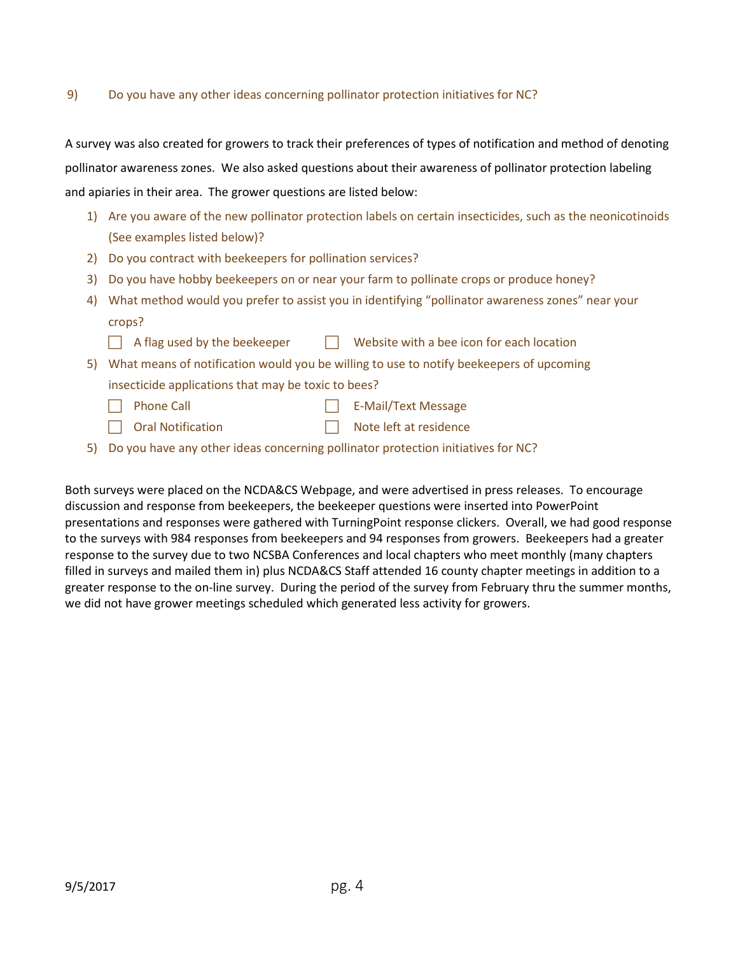#### 9) Do you have any other ideas concerning pollinator protection initiatives for NC?

A survey was also created for growers to track their preferences of types of notification and method of denoting pollinator awareness zones. We also asked questions about their awareness of pollinator protection labeling and apiaries in their area. The grower questions are listed below:

- 1) Are you aware of the new pollinator protection labels on certain insecticides, such as the neonicotinoids (See examples listed below)?
- 2) Do you contract with beekeepers for pollination services?
- 3) Do you have hobby beekeepers on or near your farm to pollinate crops or produce honey?
- 4) What method would you prefer to assist you in identifying "pollinator awareness zones" near your crops?
	- $\Box$  A flag used by the beekeeper  $\Box$  Website with a bee icon for each location
- 5) What means of notification would you be willing to use to notify beekeepers of upcoming insecticide applications that may be toxic to bees?
	- $\Box$  Phone Call  $\Box$  E-Mail/Text Message
	- Oral Notification Note left at residence
		-
- 5) Do you have any other ideas concerning pollinator protection initiatives for NC?

Both surveys were placed on the NCDA&CS Webpage, and were advertised in press releases. To encourage discussion and response from beekeepers, the beekeeper questions were inserted into PowerPoint presentations and responses were gathered with TurningPoint response clickers. Overall, we had good response to the surveys with 984 responses from beekeepers and 94 responses from growers. Beekeepers had a greater response to the survey due to two NCSBA Conferences and local chapters who meet monthly (many chapters filled in surveys and mailed them in) plus NCDA&CS Staff attended 16 county chapter meetings in addition to a greater response to the on-line survey. During the period of the survey from February thru the summer months, we did not have grower meetings scheduled which generated less activity for growers.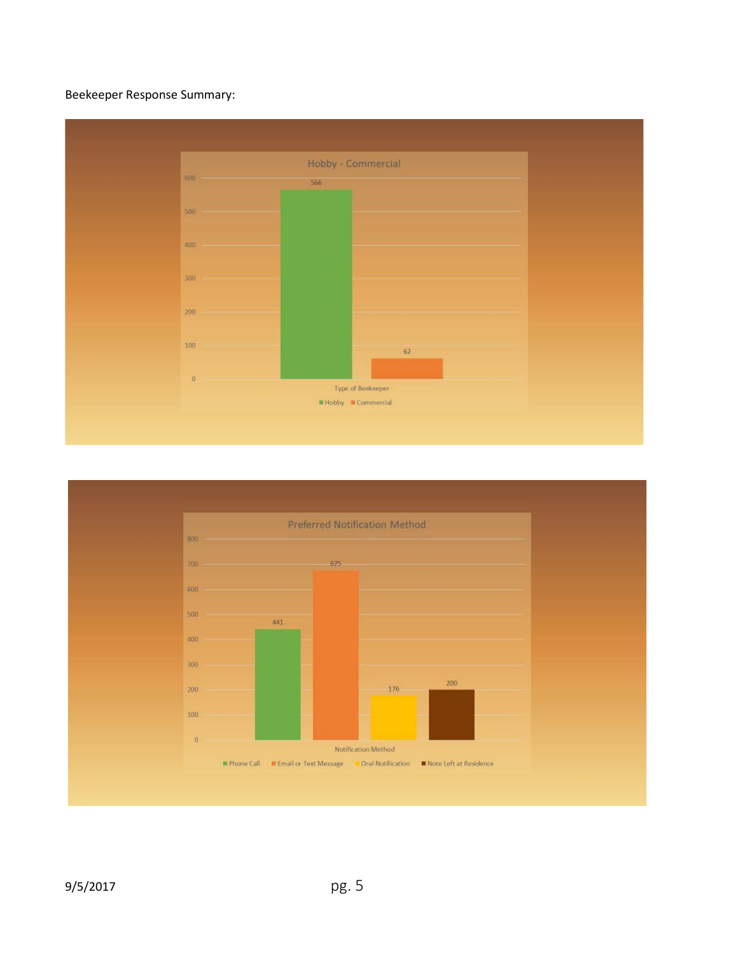# Beekeeper Response Summary:



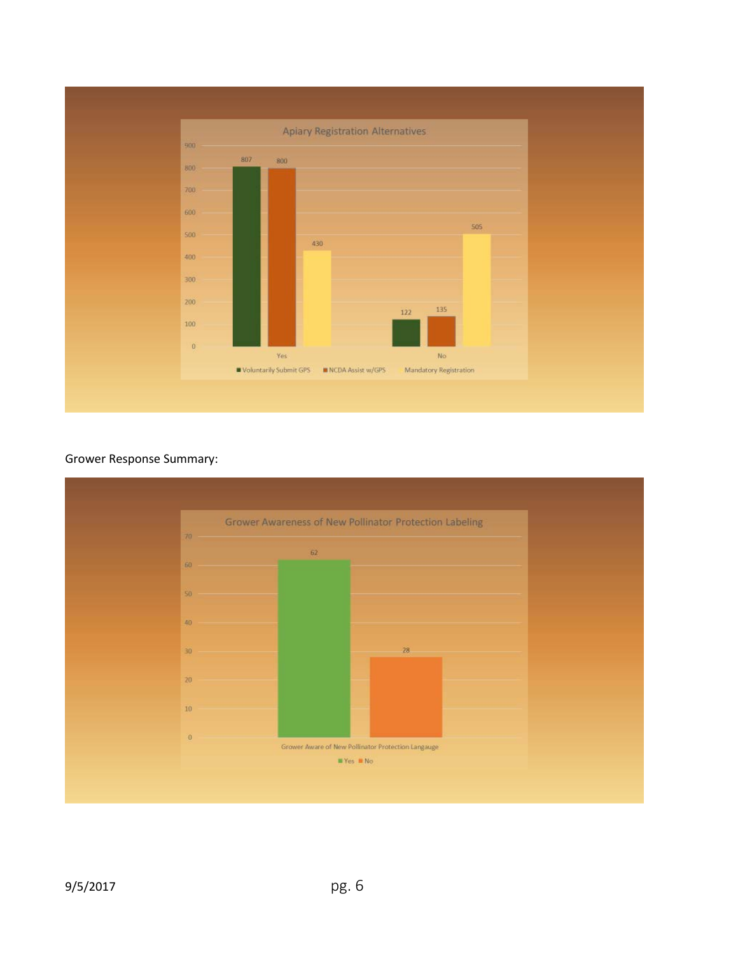

# Grower Response Summary:

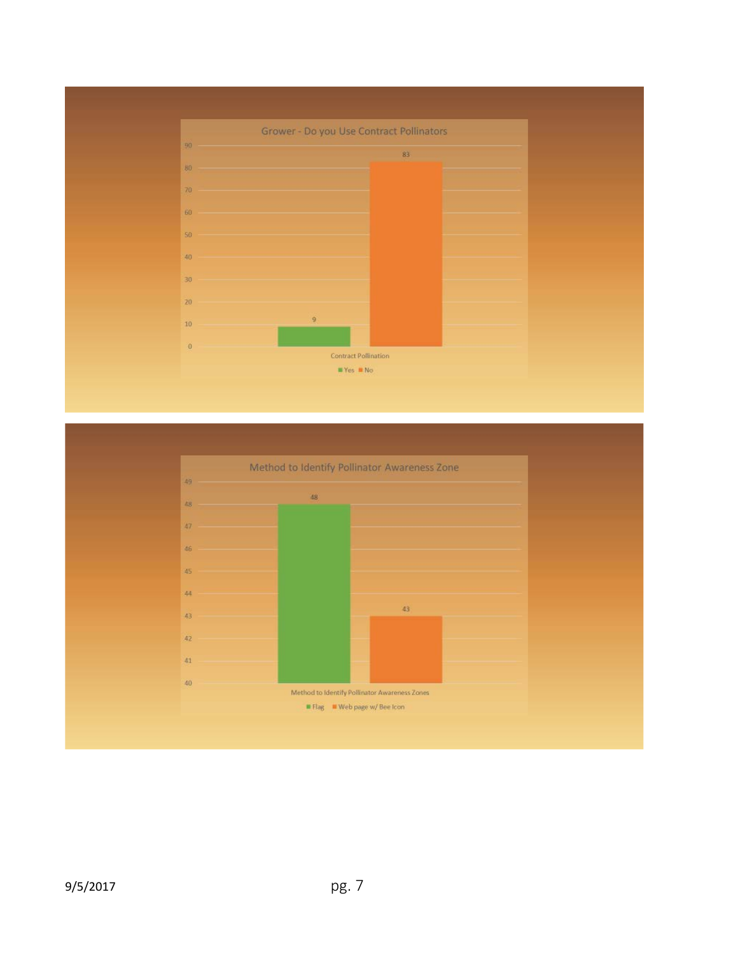

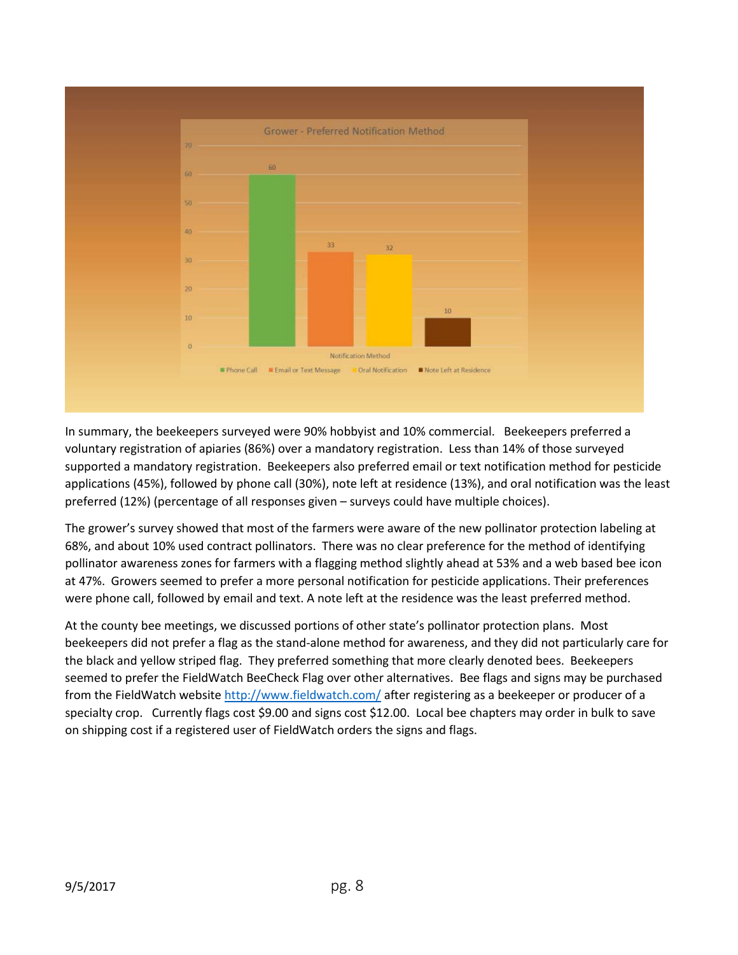

In summary, the beekeepers surveyed were 90% hobbyist and 10% commercial. Beekeepers preferred a voluntary registration of apiaries (86%) over a mandatory registration. Less than 14% of those surveyed supported a mandatory registration. Beekeepers also preferred email or text notification method for pesticide applications (45%), followed by phone call (30%), note left at residence (13%), and oral notification was the least preferred (12%) (percentage of all responses given – surveys could have multiple choices).

The grower's survey showed that most of the farmers were aware of the new pollinator protection labeling at 68%, and about 10% used contract pollinators. There was no clear preference for the method of identifying pollinator awareness zones for farmers with a flagging method slightly ahead at 53% and a web based bee icon at 47%. Growers seemed to prefer a more personal notification for pesticide applications. Their preferences were phone call, followed by email and text. A note left at the residence was the least preferred method.

At the county bee meetings, we discussed portions of other state's pollinator protection plans. Most beekeepers did not prefer a flag as the stand-alone method for awareness, and they did not particularly care for the black and yellow striped flag. They preferred something that more clearly denoted bees. Beekeepers seemed to prefer the FieldWatch BeeCheck Flag over other alternatives. Bee flags and signs may be purchased from the FieldWatch website<http://www.fieldwatch.com/> after registering as a beekeeper or producer of a specialty crop. Currently flags cost \$9.00 and signs cost \$12.00. Local bee chapters may order in bulk to save on shipping cost if a registered user of FieldWatch orders the signs and flags.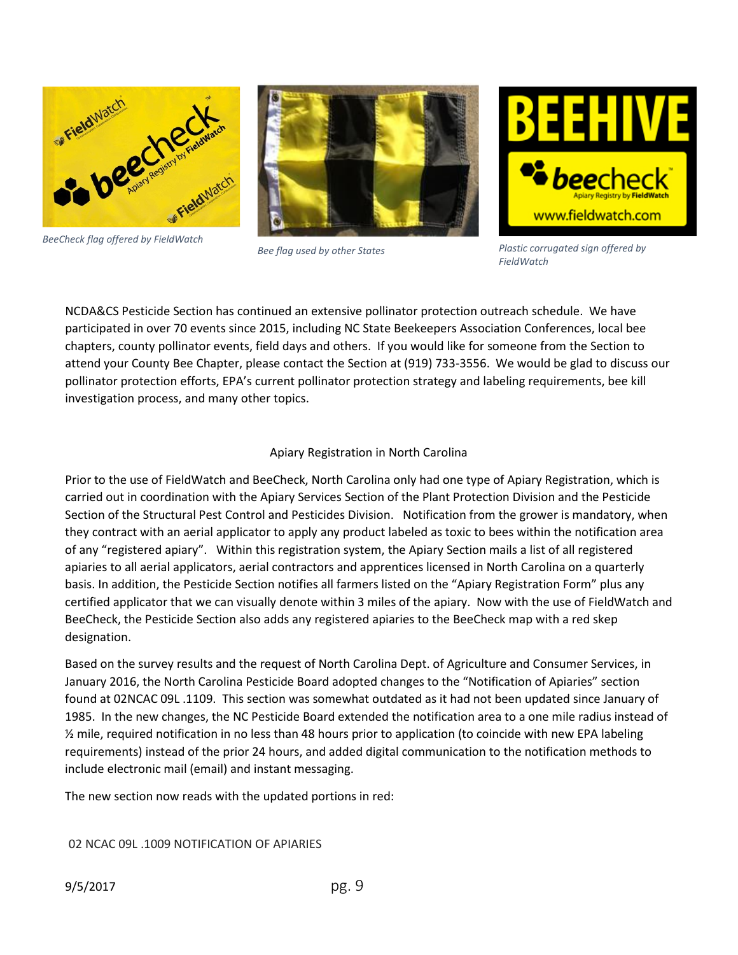



The new section now reads with the updated portions in red:

02 NCAC 09L .1009 NOTIFICATION OF APIARIES

designation. Based on the survey results and the request of North Carolina Dept. of Agriculture and Consumer Services, in January 2016, the North Carolina Pesticide Board adopted changes to the "Notification of Apiaries" section found at 02NCAC 09L .1109. This section was somewhat outdated as it had not been updated since January of 1985. In the new changes, the NC Pesticide Board extended the notification area to a one mile radius instead of ½ mile, required notification in no less than 48 hours prior to application (to coincide with new EPA labeling requirements) instead of the prior 24 hours, and added digital communication to the notification methods to include electronic mail (email) and instant messaging.

Prior to the use of FieldWatch and BeeCheck, North Carolina only had one type of Apiary Registration, which is carried out in coordination with the Apiary Services Section of the Plant Protection Division and the Pesticide Section of the Structural Pest Control and Pesticides Division. Notification from the grower is mandatory, when they contract with an aerial applicator to apply any product labeled as toxic to bees within the notification area of any "registered apiary". Within this registration system, the Apiary Section mails a list of all registered apiaries to all aerial applicators, aerial contractors and apprentices licensed in North Carolina on a quarterly basis. In addition, the Pesticide Section notifies all farmers listed on the "Apiary Registration Form" plus any certified applicator that we can visually denote within 3 miles of the apiary. Now with the use of FieldWatch and BeeCheck, the Pesticide Section also adds any registered apiaries to the BeeCheck map with a red skep

# Apiary Registration in North Carolina

participated in over 70 events since 2015, including NC State Beekeepers Association Conferences, local bee chapters, county pollinator events, field days and others. If you would like for someone from the Section to attend your County Bee Chapter, please contact the Section at (919) 733-3556. We would be glad to discuss our pollinator protection efforts, EPA's current pollinator protection strategy and labeling requirements, bee kill investigation process, and many other topics.

NCDA&CS Pesticide Section has continued an extensive pollinator protection outreach schedule. We have

#### *BeeCheck flag offered by FieldWatch*

*Bee flag used by other States*

www.fieldwatch.com

*Plastic corrugated sign offered by FieldWatch*



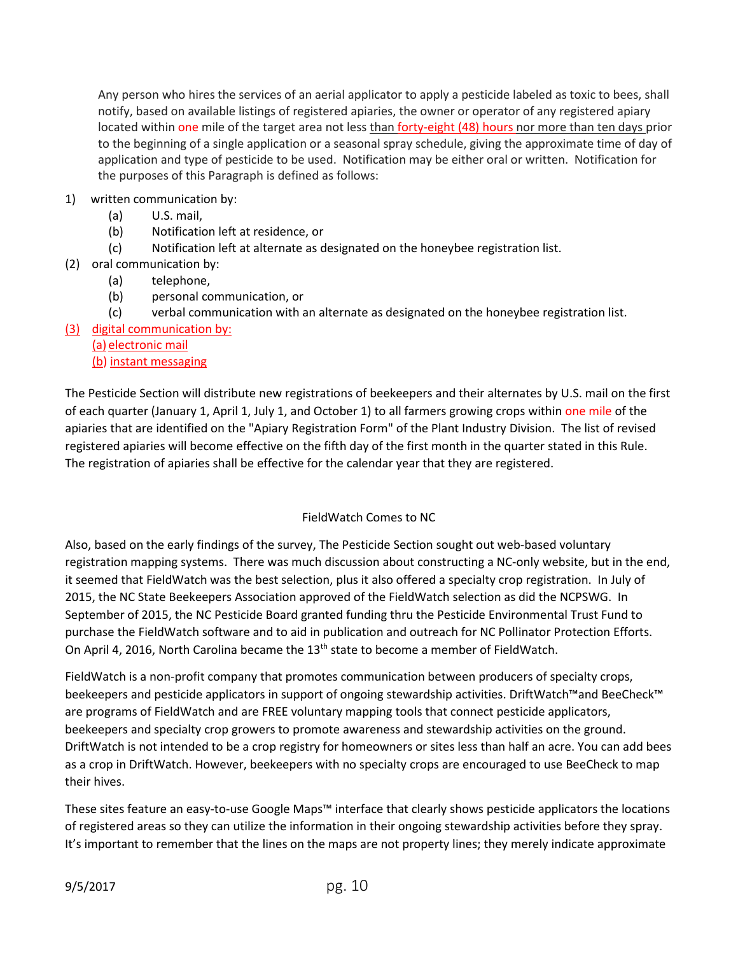Any person who hires the services of an aerial applicator to apply a pesticide labeled as toxic to bees, shall notify, based on available listings of registered apiaries, the owner or operator of any registered apiary located within one mile of the target area not less than forty-eight (48) hours nor more than ten days prior to the beginning of a single application or a seasonal spray schedule, giving the approximate time of day of application and type of pesticide to be used. Notification may be either oral or written. Notification for the purposes of this Paragraph is defined as follows:

- 1) written communication by:
	- (a) U.S. mail,
	- (b) Notification left at residence, or
	- (c) Notification left at alternate as designated on the honeybee registration list.
- (2) oral communication by:
	- (a) telephone,
	- (b) personal communication, or
	- (c) verbal communication with an alternate as designated on the honeybee registration list.
- (3) digital communication by:
	- (a) electronic mail (b) instant messaging

The Pesticide Section will distribute new registrations of beekeepers and their alternates by U.S. mail on the first of each quarter (January 1, April 1, July 1, and October 1) to all farmers growing crops within one mile of the apiaries that are identified on the "Apiary Registration Form" of the Plant Industry Division. The list of revised registered apiaries will become effective on the fifth day of the first month in the quarter stated in this Rule. The registration of apiaries shall be effective for the calendar year that they are registered.

# FieldWatch Comes to NC

Also, based on the early findings of the survey, The Pesticide Section sought out web-based voluntary registration mapping systems. There was much discussion about constructing a NC-only website, but in the end, it seemed that FieldWatch was the best selection, plus it also offered a specialty crop registration. In July of 2015, the NC State Beekeepers Association approved of the FieldWatch selection as did the NCPSWG. In September of 2015, the NC Pesticide Board granted funding thru the Pesticide Environmental Trust Fund to purchase the FieldWatch software and to aid in publication and outreach for NC Pollinator Protection Efforts. On April 4, 2016, North Carolina became the 13<sup>th</sup> state to become a member of FieldWatch.

FieldWatch is a non-profit company that promotes communication between producers of specialty crops, beekeepers and pesticide applicators in support of ongoing stewardship activities. DriftWatch™and BeeCheck™ are programs of FieldWatch and are FREE voluntary mapping tools that connect pesticide applicators, beekeepers and specialty crop growers to promote awareness and stewardship activities on the ground. DriftWatch is not intended to be a crop registry for homeowners or sites less than half an acre. You can add bees as a crop in DriftWatch. However, beekeepers with no specialty crops are encouraged to use BeeCheck to map their hives.

These sites feature an easy-to-use Google Maps™ interface that clearly shows pesticide applicators the locations of registered areas so they can utilize the information in their ongoing stewardship activities before they spray. It's important to remember that the lines on the maps are not property lines; they merely indicate approximate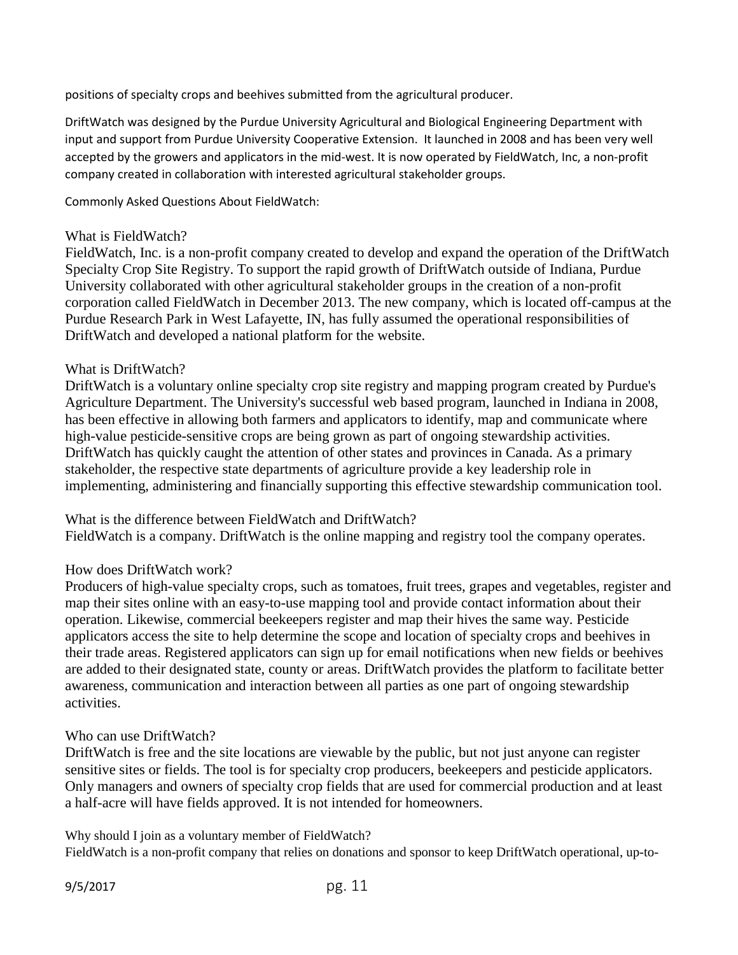positions of specialty crops and beehives submitted from the agricultural producer.

DriftWatch was designed by the Purdue University Agricultural and Biological Engineering Department with input and support from Purdue University Cooperative Extension. It launched in 2008 and has been very well accepted by the growers and applicators in the mid-west. It is now operated by FieldWatch, Inc, a non-profit company created in collaboration with interested agricultural stakeholder groups.

Commonly Asked Questions About FieldWatch:

#### What is FieldWatch?

FieldWatch, Inc. is a non-profit company created to develop and expand the operation of the DriftWatch Specialty Crop Site Registry. To support the rapid growth of DriftWatch outside of Indiana, Purdue University collaborated with other agricultural stakeholder groups in the creation of a non-profit corporation called FieldWatch in December 2013. The new company, which is located off-campus at the Purdue Research Park in West Lafayette, IN, has fully assumed the operational responsibilities of DriftWatch and developed a national platform for the website.

#### What is DriftWatch?

DriftWatch is a voluntary online specialty crop site registry and mapping program created by Purdue's Agriculture Department. The University's successful web based program, launched in Indiana in 2008, has been effective in allowing both farmers and applicators to identify, map and communicate where high-value pesticide-sensitive crops are being grown as part of ongoing stewardship activities. DriftWatch has quickly caught the attention of other states and provinces in Canada. As a primary stakeholder, the respective state departments of agriculture provide a key leadership role in implementing, administering and financially supporting this effective stewardship communication tool.

What is the difference between FieldWatch and DriftWatch?

FieldWatch is a company. DriftWatch is the online mapping and registry tool the company operates.

# How does DriftWatch work?

Producers of high-value specialty crops, such as tomatoes, fruit trees, grapes and vegetables, register and map their sites online with an easy-to-use mapping tool and provide contact information about their operation. Likewise, commercial beekeepers register and map their hives the same way. Pesticide applicators access the site to help determine the scope and location of specialty crops and beehives in their trade areas. Registered applicators can sign up for email notifications when new fields or beehives are added to their designated state, county or areas. DriftWatch provides the platform to facilitate better awareness, communication and interaction between all parties as one part of ongoing stewardship activities.

# Who can use DriftWatch?

DriftWatch is free and the site locations are viewable by the public, but not just anyone can register sensitive sites or fields. The tool is for specialty crop producers, beekeepers and pesticide applicators. Only managers and owners of specialty crop fields that are used for commercial production and at least a half-acre will have fields approved. It is not intended for homeowners.

Why should I join as a voluntary member of FieldWatch?

FieldWatch is a non-profit company that relies on donations and sponsor to keep DriftWatch operational, up-to-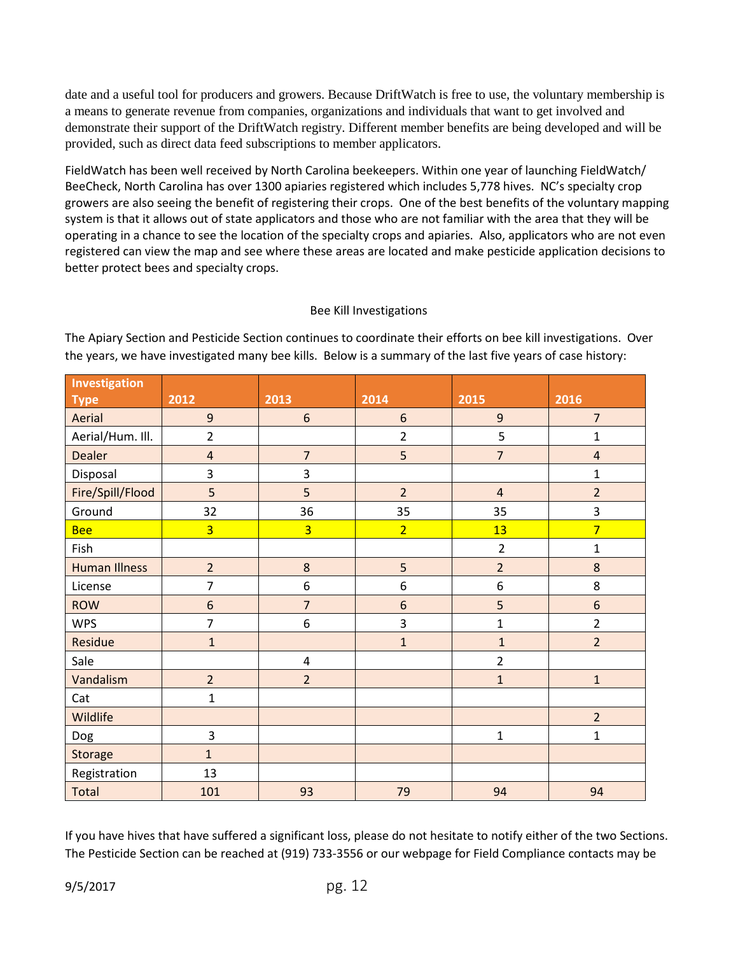date and a useful tool for producers and growers. Because DriftWatch is free to use, the voluntary membership is a means to generate revenue from companies, organizations and individuals that want to get involved and demonstrate their support of the DriftWatch registry. Different member benefits are being developed and will be provided, such as direct data feed subscriptions to member applicators.

FieldWatch has been well received by North Carolina beekeepers. Within one year of launching FieldWatch/ BeeCheck, North Carolina has over 1300 apiaries registered which includes 5,778 hives. NC's specialty crop growers are also seeing the benefit of registering their crops. One of the best benefits of the voluntary mapping system is that it allows out of state applicators and those who are not familiar with the area that they will be operating in a chance to see the location of the specialty crops and apiaries. Also, applicators who are not even registered can view the map and see where these areas are located and make pesticide application decisions to better protect bees and specialty crops.

#### Bee Kill Investigations

The Apiary Section and Pesticide Section continues to coordinate their efforts on bee kill investigations. Over the years, we have investigated many bee kills. Below is a summary of the last five years of case history:

| Investigation        |                  |                         |                |                  |                  |
|----------------------|------------------|-------------------------|----------------|------------------|------------------|
| <b>Type</b>          | 2012             | 2013                    | 2014           | 2015             | 2016             |
| Aerial               | $\mathbf{9}$     | $\boldsymbol{6}$        | 6              | $\overline{9}$   | $\overline{7}$   |
| Aerial/Hum. Ill.     | $\overline{2}$   |                         | $\overline{2}$ | 5                | $\mathbf{1}$     |
| <b>Dealer</b>        | $\sqrt{4}$       | $\overline{7}$          | 5              | $\overline{7}$   | $\overline{a}$   |
| Disposal             | 3                | 3                       |                |                  | $\mathbf{1}$     |
| Fire/Spill/Flood     | 5                | 5                       | $\overline{2}$ | $\overline{4}$   | $\overline{2}$   |
| Ground               | 32               | 36                      | 35             | 35               | 3                |
| <b>Bee</b>           | $\overline{3}$   | $\overline{3}$          | $\overline{2}$ | 13               | $\overline{7}$   |
| Fish                 |                  |                         |                | $\overline{2}$   | $\mathbf{1}$     |
| <b>Human Illness</b> | $\overline{2}$   | $\bf 8$                 | 5              | $\overline{2}$   | 8                |
| License              | $\overline{7}$   | $\boldsymbol{6}$        | 6              | $\boldsymbol{6}$ | 8                |
| <b>ROW</b>           | $\boldsymbol{6}$ | $\overline{7}$          | 6              | 5                | $\boldsymbol{6}$ |
| <b>WPS</b>           | $\overline{7}$   | $\boldsymbol{6}$        | 3              | $\mathbf{1}$     | $\overline{2}$   |
| Residue              | $\mathbf{1}$     |                         | $\mathbf{1}$   | $\mathbf{1}$     | $\overline{2}$   |
| Sale                 |                  | $\overline{\mathbf{4}}$ |                | $\overline{2}$   |                  |
| Vandalism            | $\overline{2}$   | $\overline{2}$          |                | $\mathbf 1$      | $\mathbf{1}$     |
| Cat                  | $\mathbf 1$      |                         |                |                  |                  |
| Wildlife             |                  |                         |                |                  | $\overline{2}$   |
| Dog                  | 3                |                         |                | $\mathbf{1}$     | $\mathbf{1}$     |
| Storage              | $\mathbf{1}$     |                         |                |                  |                  |
| Registration         | 13               |                         |                |                  |                  |
| Total                | 101              | 93                      | 79             | 94               | 94               |

If you have hives that have suffered a significant loss, please do not hesitate to notify either of the two Sections. The Pesticide Section can be reached at (919) 733-3556 or our webpage for Field Compliance contacts may be